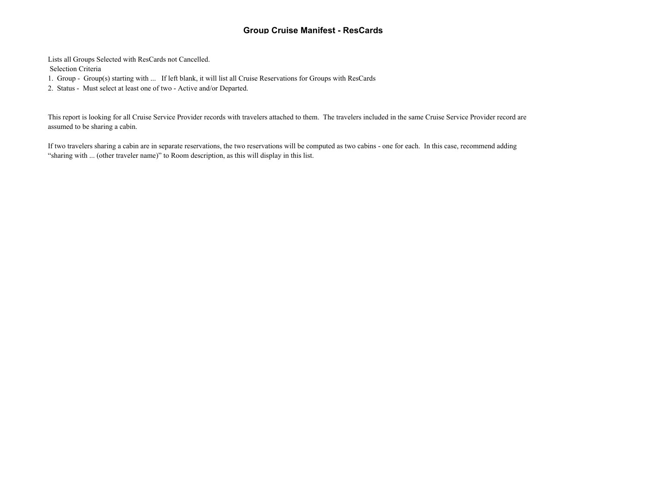## **Group Cruise Manifest - ResCards**

Lists all Groups Selected with ResCards not Cancelled.

Selection Criteria

1. Group - Group(s) starting with ... If left blank, it will list all Cruise Reservations for Groups with ResCards

2. Status - Must select at least one of two - Active and/or Departed.

This report is looking for all Cruise Service Provider records with travelers attached to them. The travelers included in the same Cruise Service Provider record are assumed to be sharing a cabin.

If two travelers sharing a cabin are in separate reservations, the two reservations will be computed as two cabins - one for each. In this case, recommend adding "sharing with ... (other traveler name)" to Room description, as this will display in this list.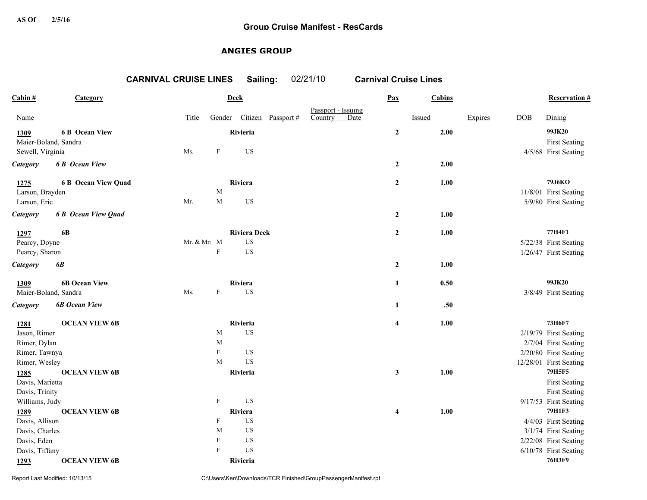## **ANGIES GROUP**

**CARNIVAL CRUISE LINES**

**Sailing:** 02/21/10 **Carnival Cruise Lines**

| Cabin $#$                                             | <b>Category</b>            | <b>Deck</b> |                           |                     |              |                                       | Pax                     | <b>Cabins</b> |         |            | <b>Reservation#</b>                          |
|-------------------------------------------------------|----------------------------|-------------|---------------------------|---------------------|--------------|---------------------------------------|-------------------------|---------------|---------|------------|----------------------------------------------|
| <b>Name</b>                                           |                            | Title       | Gender                    | Citizen             | Passport $#$ | Passport - Issuing<br>Country<br>Date |                         | Issued        | Expires | <b>DOB</b> | Dining                                       |
| <b>6 B</b> Ocean View<br>1309<br>Maier-Boland, Sandra |                            |             |                           | Rivieria            |              |                                       | $\boldsymbol{2}$        | 2.00          |         |            | 99JK20<br><b>First Seating</b>               |
| Sewell, Virginia                                      |                            | Ms.         | $\boldsymbol{\mathrm{F}}$ | US                  |              |                                       |                         |               |         |            | 4/5/68 First Seating                         |
| Category                                              | <b>6 B</b> Ocean View      |             |                           |                     |              |                                       | $\boldsymbol{2}$        | 2.00          |         |            |                                              |
| 1275                                                  | <b>6 B Ocean View Quad</b> |             |                           | Riviera             |              |                                       | $\boldsymbol{2}$        | 1.00          |         |            | 79J6KO                                       |
| Larson, Brayden                                       |                            |             | M                         |                     |              |                                       |                         |               |         |            | 11/8/01 First Seating                        |
| Larson, Eric                                          |                            | Mr.         | M                         | US                  |              |                                       |                         |               |         |            | 5/9/80 First Seating                         |
| Category                                              | <b>6 B Ocean View Quad</b> |             |                           |                     |              |                                       | $\boldsymbol{2}$        | 1.00          |         |            |                                              |
| 1297                                                  | 6 <b>B</b>                 |             |                           | <b>Riviera Deck</b> |              |                                       | $\boldsymbol{2}$        | 1.00          |         |            | 77H4F1                                       |
| Pearcy, Doyne                                         |                            | Mr. & Mr: M |                           | <b>US</b>           |              |                                       |                         |               |         |            | 5/22/38 First Seating                        |
| Pearcy, Sharon                                        |                            |             | $\mathbf F$               | <b>US</b>           |              |                                       |                         |               |         |            | 1/26/47 First Seating                        |
| Category                                              | 6B                         |             |                           |                     |              |                                       | $\boldsymbol{2}$        | 1.00          |         |            |                                              |
| <u>1309</u>                                           | <b>6B Ocean View</b>       |             |                           | Riviera             |              |                                       | 1                       | 0.50          |         |            | 99JK20                                       |
| Maier-Boland, Sandra                                  |                            | Ms.         | $\mathbf F$               | US                  |              |                                       |                         |               |         |            | 3/8/49 First Seating                         |
| Category                                              | <b>6B Ocean View</b>       |             |                           |                     |              |                                       | 1                       | .50           |         |            |                                              |
| 1281                                                  | <b>OCEAN VIEW 6B</b>       |             |                           | Rivieria            |              |                                       | $\overline{\mathbf{4}}$ | 1.00          |         |            | 73H6F7                                       |
| Jason, Rimer                                          |                            |             | M                         | US                  |              |                                       |                         |               |         |            | 2/19/79 First Seating                        |
| Rimer, Dylan                                          |                            |             | M                         |                     |              |                                       |                         |               |         |            | 2/7/04 First Seating                         |
| Rimer, Tawnya                                         |                            |             | F                         | US                  |              |                                       |                         |               |         |            | 2/20/80 First Seating                        |
| Rimer, Wesley                                         |                            |             | M                         | <b>US</b>           |              |                                       |                         |               |         |            | 12/28/01 First Seating                       |
| 1285                                                  | <b>OCEAN VIEW 6B</b>       |             |                           | Rivieria            |              |                                       | $\mathbf{3}$            | 1.00          |         |            | 79H5F5                                       |
| Davis, Marietta<br>Davis, Trinity                     |                            |             |                           |                     |              |                                       |                         |               |         |            | <b>First Seating</b><br><b>First Seating</b> |
| Williams, Judy                                        |                            |             | $\boldsymbol{\mathrm{F}}$ | US                  |              |                                       |                         |               |         |            | 9/17/53 First Seating                        |
| 1289                                                  | <b>OCEAN VIEW 6B</b>       |             |                           | Riviera             |              |                                       | 4                       | 1.00          |         |            | 79H1F3                                       |
| Davis, Allison                                        |                            |             | $\mathbf F$               | US                  |              |                                       |                         |               |         |            | 4/4/03 First Seating                         |
| Davis, Charles                                        |                            |             | M                         | US                  |              |                                       |                         |               |         |            | 3/1/74 First Seating                         |
| Davis, Eden                                           |                            |             | $\boldsymbol{\mathrm{F}}$ | $\mathbf{US}$       |              |                                       |                         |               |         |            | 2/22/08 First Seating                        |
| Davis, Tiffany                                        |                            |             | $\boldsymbol{\mathrm{F}}$ | <b>US</b>           |              |                                       |                         |               |         |            | 6/10/78 First Seating                        |
| 1293                                                  | <b>OCEAN VIEW 6B</b>       |             |                           | <b>Rivieria</b>     |              |                                       |                         |               |         |            | <b>76H3F9</b>                                |